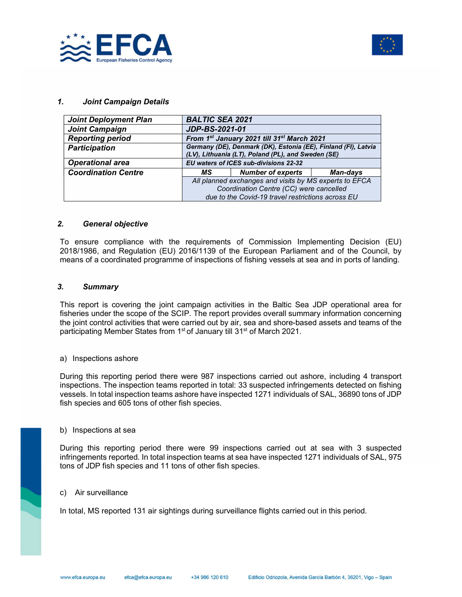



#### 1. Joint Campaign Details

| <b>Joint Deployment Plan</b> | <b>BALTIC SEA 2021</b>                                                                                               |                          |                 |  |
|------------------------------|----------------------------------------------------------------------------------------------------------------------|--------------------------|-----------------|--|
| <b>Joint Campaign</b>        | <b>JDP-BS-2021-01</b>                                                                                                |                          |                 |  |
| <b>Reporting period</b>      | From 1st January 2021 till 31st March 2021                                                                           |                          |                 |  |
| <b>Participation</b>         | Germany (DE), Denmark (DK), Estonia (EE), Finland (FI), Latvia<br>(LV), Lithuania (LT), Poland (PL), and Sweden (SE) |                          |                 |  |
| <b>Operational area</b>      | <b>EU</b> waters of ICES sub-divisions 22-32                                                                         |                          |                 |  |
| <b>Coordination Centre</b>   | МS                                                                                                                   | <b>Number of experts</b> | <b>Man-days</b> |  |
|                              | All planned exchanges and visits by MS experts to EFCA                                                               |                          |                 |  |
|                              | Coordination Centre (CC) were cancelled                                                                              |                          |                 |  |
|                              | due to the Covid-19 travel restrictions across EU                                                                    |                          |                 |  |

#### 2. General objective

To ensure compliance with the requirements of Commission Implementing Decision (EU) 2018/1986, and Regulation (EU) 2016/1139 of the European Parliament and of the Council, by means of a coordinated programme of inspections of fishing vessels at sea and in ports of landing.

#### 3. Summary

This report is covering the joint campaign activities in the Baltic Sea JDP operational area for fisheries under the scope of the SCIP. The report provides overall summary information concerning the joint control activities that were carried out by air, sea and shore-based assets and teams of the participating Member States from 1<sup>st</sup> of January till 31<sup>st</sup> of March 2021.

#### a) Inspections ashore

During this reporting period there were 987 inspections carried out ashore, including 4 transport inspections. The inspection teams reported in total: 33 suspected infringements detected on fishing vessels. In total inspection teams ashore have inspected 1271 individuals of SAL, 36890 tons of JDP fish species and 605 tons of other fish species.

#### b) Inspections at sea

During this reporting period there were 99 inspections carried out at sea with 3 suspected infringements reported. In total inspection teams at sea have inspected 1271 individuals of SAL, 975 tons of JDP fish species and 11 tons of other fish species.

#### c) Air surveillance

In total, MS reported 131 air sightings during surveillance flights carried out in this period.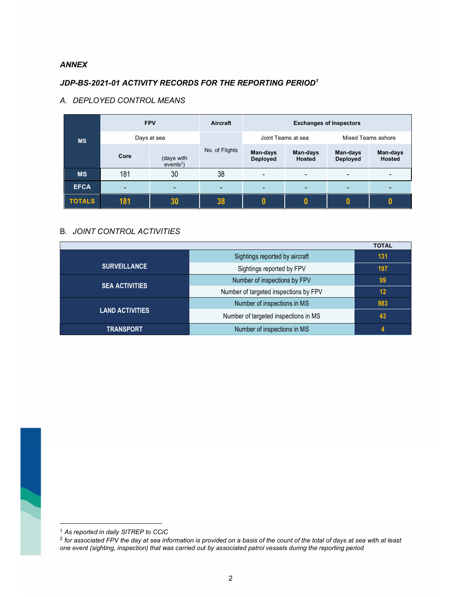#### ANNEX

# JDP-BS-2021-01 ACTIVITY RECORDS FOR THE REPORTING PERIOD<sup>1</sup>

## A. DEPLOYED CONTROL MEANS

| <b>MS</b>     | <b>FPV</b>  |                           | Aircraft       | <b>Exchanges of Inspectors</b> |                           |                             |                           |
|---------------|-------------|---------------------------|----------------|--------------------------------|---------------------------|-----------------------------|---------------------------|
|               | Days at sea |                           |                | Joint Teams at sea             |                           | Mixed Teams ashore          |                           |
|               | Core        | (days with<br>$events2$ ) | No. of Flights | Man-days<br><b>Deployed</b>    | Man-days<br><b>Hosted</b> | Man-days<br><b>Deployed</b> | Man-days<br><b>Hosted</b> |
| <b>MS</b>     | 181         | 30                        | 38             | $\blacksquare$                 | $\overline{\phantom{0}}$  | $\overline{\phantom{0}}$    |                           |
| <b>EFCA</b>   | ۰           | -                         | -              | ۰                              |                           | -                           |                           |
| <b>TOTALS</b> | 181         | 30                        | 38             |                                |                           |                             |                           |

### B. JOINT CONTROL ACTIVITIES

|                        |                                       | <b>TOTAL</b> |
|------------------------|---------------------------------------|--------------|
|                        | Sightings reported by aircraft        | 131          |
| <b>SURVEILLANCE</b>    | Sightings reported by FPV             | 197          |
| <b>SEA ACTIVITIES</b>  | Number of inspections by FPV          | 99           |
|                        | Number of targeted inspections by FPV | 12           |
|                        | Number of inspections in MS           | 983          |
| <b>LAND ACTIVITIES</b> | Number of targeted inspections in MS  | 43           |
| <b>TRANSPORT</b>       | Number of inspections in MS           |              |

<sup>&</sup>lt;sup>1</sup> As reported in daily SITREP to CCiC

 $^2$  for associated FPV the day at sea information is provided on a basis of the count of the total of days at sea with at least one event (sighting, inspection) that was carried out by associated patrol vessels during the reporting period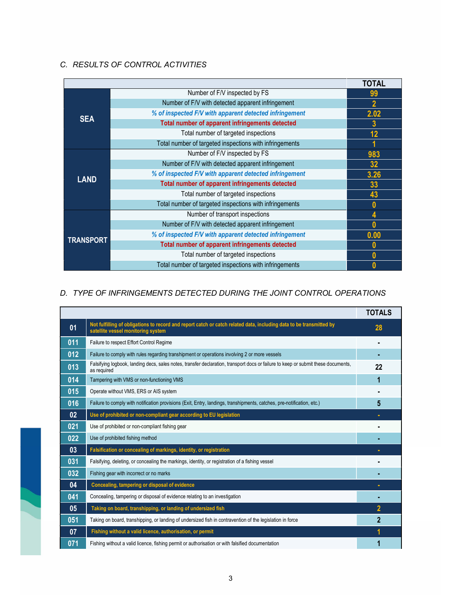## C. RESULTS OF CONTROL ACTIVITIES

|                  |                                                         | TOTAL          |
|------------------|---------------------------------------------------------|----------------|
| <b>SEA</b>       | Number of F/V inspected by FS                           | 99             |
|                  | Number of F/V with detected apparent infringement       | $\overline{2}$ |
|                  | % of inspected F/V with apparent detected infringement  | 2.02           |
|                  | Total number of apparent infringements detected         | $\mathbf{3}$   |
|                  | Total number of targeted inspections                    | 12             |
|                  | Total number of targeted inspections with infringements |                |
|                  | Number of F/V inspected by FS                           | 983            |
|                  | Number of F/V with detected apparent infringement       | 32             |
|                  | % of inspected F/V with apparent detected infringement  | 3.26           |
| <b>LAND</b>      | Total number of apparent infringements detected         | 33             |
|                  | Total number of targeted inspections                    | 43             |
|                  | Total number of targeted inspections with infringements | $\mathbf{0}$   |
|                  | Number of transport inspections                         | 4              |
|                  | Number of F/V with detected apparent infringement       | $\bf{0}$       |
|                  | % of inspected F/V with apparent detected infringement  | 0.00           |
| <b>TRANSPORT</b> | Total number of apparent infringements detected         | 0              |
|                  | Total number of targeted inspections                    | $\bf{0}$       |
|                  | Total number of targeted inspections with infringements | O              |

# D. TYPE OF INFRINGEMENTS DETECTED DURING THE JOINT CONTROL OPERATIONS

|     |                                                                                                                                                           | <b>TOTALS</b>  |
|-----|-----------------------------------------------------------------------------------------------------------------------------------------------------------|----------------|
| 01  | Not fulfilling of obligations to record and report catch or catch related data, including data to be transmitted by<br>satellite vessel monitoring system | 28             |
| 011 | Failure to respect Effort Control Regime                                                                                                                  |                |
| 012 | Failure to comply with rules regarding transhipment or operations involving 2 or more vessels                                                             |                |
| 013 | Falsifying logbook, landing decs, sales notes, transfer declaration, transport docs or failure to keep or submit these documents,<br>as required          | 22             |
| 014 | Tampering with VMS or non-functioning VMS                                                                                                                 | 1              |
| 015 | Operate without VMS, ERS or AIS system                                                                                                                    |                |
| 016 | Failure to comply with notification provisions (Exit, Entry, landings, transhipments, catches, pre-notification, etc.)                                    | 5              |
| 02  | Use of prohibited or non-compliant gear according to EU legislation                                                                                       |                |
| 021 | Use of prohibited or non-compliant fishing gear                                                                                                           |                |
| 022 | Use of prohibited fishing method                                                                                                                          |                |
| 03  | Falsification or concealing of markings, identity, or registration                                                                                        |                |
| 031 | Falsifying, deleting, or concealing the markings, identity, or registration of a fishing vessel                                                           |                |
| 032 | Fishing gear with incorrect or no marks                                                                                                                   |                |
| 04  | Concealing, tampering or disposal of evidence                                                                                                             |                |
| 041 | Concealing, tampering or disposal of evidence relating to an investigation                                                                                |                |
| 05  | Taking on board, transhipping, or landing of undersized fish                                                                                              | $\overline{2}$ |
| 051 | Taking on board, transhipping, or landing of undersized fish in contravention of the legislation in force                                                 | 2              |
| 07  | Fishing without a valid licence, authorisation, or permit                                                                                                 |                |
| 071 | Fishing without a valid licence, fishing permit or authorisation or with falsified documentation                                                          |                |